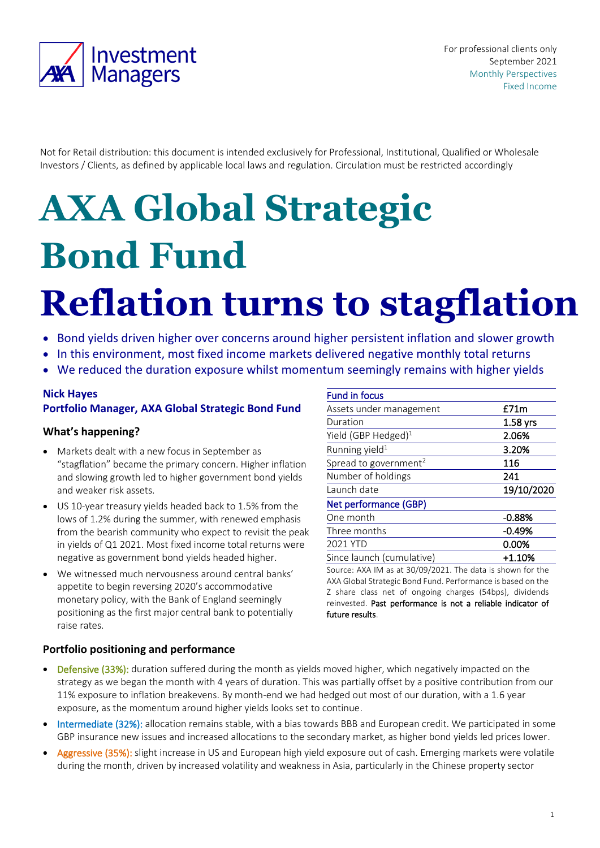

For professional clients only September 2021 Monthly Perspectives Fixed Income

Not for Retail distribution: this document is intended exclusively for Professional, Institutional, Qualified or Wholesale Investors / Clients, as defined by applicable local laws and regulation. Circulation must be restricted accordingly

# **AXA Global Strategic Bond Fund**

# **Reflation turns to stagflation**

- Bond yields driven higher over concerns around higher persistent inflation and slower growth
- In this environment, most fixed income markets delivered negative monthly total returns
- We reduced the duration exposure whilst momentum seemingly remains with higher yields

# **Nick Hayes**

#### **Portfolio Manager, AXA Global Strategic Bond Fund**

#### **What's happening?**

- Markets dealt with a new focus in September as "stagflation" became the primary concern. Higher inflation and slowing growth led to higher government bond yields and weaker risk assets.
- US 10-year treasury yields headed back to 1.5% from the lows of 1.2% during the summer, with renewed emphasis from the bearish community who expect to revisit the peak in yields of Q1 2021. Most fixed income total returns were negative as government bond yields headed higher.
- We witnessed much nervousness around central banks' appetite to begin reversing 2020's accommodative monetary policy, with the Bank of England seemingly positioning as the first major central bank to potentially raise rates.

| <b>Fund in focus</b>              |            |
|-----------------------------------|------------|
| Assets under management           | £71m       |
| Duration                          | $1.58$ yrs |
| Yield (GBP Hedged) $1$            | 2.06%      |
| Running yield <sup>1</sup>        | 3.20%      |
| Spread to government <sup>2</sup> | 116        |
| Number of holdings                | 241        |
| Launch date                       | 19/10/2020 |
| Net performance (GBP)             |            |
| One month                         | $-0.88%$   |
| Three months                      | $-0.49%$   |
| 2021 YTD                          | 0.00%      |
| Since launch (cumulative)         | +1.10%     |

Source: AXA IM as at 30/09/2021. The data is shown for the AXA Global Strategic Bond Fund. Performance is based on the Z share class net of ongoing charges (54bps), dividends reinvested. Past performance is not a reliable indicator of future results.

#### **Portfolio positioning and performance**

- Defensive (33%): duration suffered during the month as yields moved higher, which negatively impacted on the strategy as we began the month with 4 years of duration. This was partially offset by a positive contribution from our 11% exposure to inflation breakevens. By month-end we had hedged out most of our duration, with a 1.6 year exposure, as the momentum around higher yields looks set to continue.
- Intermediate (32%): allocation remains stable, with a bias towards BBB and European credit. We participated in some GBP insurance new issues and increased allocations to the secondary market, as higher bond yields led prices lower.
- Aggressive (35%): slight increase in US and European high yield exposure out of cash. Emerging markets were volatile during the month, driven by increased volatility and weakness in Asia, particularly in the Chinese property sector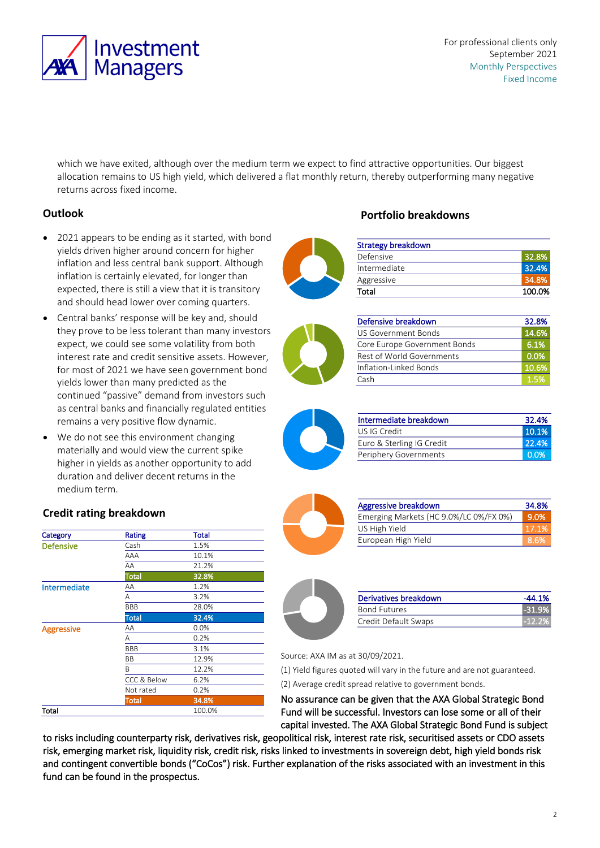

For professional clients only September 2021 Monthly Perspectives Fixed Income

which we have exited, although over the medium term we expect to find attractive opportunities. Our biggest allocation remains to US high yield, which delivered a flat monthly return, thereby outperforming many negative returns across fixed income.

## **Outlook**

- 2021 appears to be ending as it started, with bond yields driven higher around concern for higher inflation and less central bank support. Although inflation is certainly elevated, for longer than expected, there is still a view that it is transitory and should head lower over coming quarters.
- Central banks' response will be key and, should they prove to be less tolerant than many investors expect, we could see some volatility from both interest rate and credit sensitive assets. However, for most of 2021 we have seen government bond yields lower than many predicted as the continued "passive" demand from investors such as central banks and financially regulated entities remains a very positive flow dynamic.
- We do not see this environment changing materially and would view the current spike higher in yields as another opportunity to add duration and deliver decent returns in the medium term.

# **Credit rating breakdown**

| Category          | <b>Rating</b>          | <b>Total</b> |
|-------------------|------------------------|--------------|
| <b>Defensive</b>  | Cash                   | 1.5%         |
|                   | AAA                    | 10.1%        |
|                   | AA                     | 21.2%        |
|                   | <b>Total</b>           | 32.8%        |
| Intermediate      | ΑA                     | 1.2%         |
|                   | Α                      | 3.2%         |
|                   | <b>BBB</b>             | 28.0%        |
|                   | <b>Total</b>           | 32.4%        |
| <b>Aggressive</b> | ΑA                     | 0.0%         |
|                   | Α                      | 0.2%         |
|                   | <b>BBB</b>             | 3.1%         |
|                   | <b>BB</b>              | 12.9%        |
|                   | B                      | 12.2%        |
|                   | <b>CCC &amp; Below</b> | 6.2%         |
|                   | Not rated              | 0.2%         |
|                   | Total                  | 34.8%        |
| Total             |                        | 100.0%       |

## **Portfolio breakdowns**

| <b>Strategy breakdown</b> |        |
|---------------------------|--------|
| Defensive                 | 32.8%  |
| Intermediate              | 32.4%  |
| Aggressive                | 34.8%  |
| Total                     | 100.0% |



| Defensive breakdown          | 32.8% |
|------------------------------|-------|
| US Government Bonds          | 14.6% |
| Core Europe Government Bonds | 6.1%  |
| Rest of World Governments    | 0.0%  |
| Inflation-Linked Bonds       | 10.6% |
| Cash                         | 1.5%  |



| Intermediate breakdown    | 32.4%            |
|---------------------------|------------------|
| US IG Credit              | 10.1%            |
| Euro & Sterling IG Credit | 22.4%            |
| Periphery Governments     | 0.0 <sub>%</sub> |



| Aggressive breakdown                   | 34.8%         |
|----------------------------------------|---------------|
| Emerging Markets (HC 9.0%/LC 0%/FX 0%) | 9.0%          |
| US High Yield                          | <b>VI7.1%</b> |
| European High Yield                    | <b>8.6%</b>   |



| Derivatives breakdown | -44.1%   |
|-----------------------|----------|
| <b>Bond Futures</b>   | $-31.9%$ |
| Credit Default Swaps  | $-12.2%$ |

Source: AXA IM as at 30/09/2021.

(1) Yield figures quoted will vary in the future and are not guaranteed.

(2) Average credit spread relative to government bonds.

No assurance can be given that the AXA Global Strategic Bond Fund will be successful. Investors can lose some or all of their capital invested. The AXA Global Strategic Bond Fund is subject

to risks including counterparty risk, derivatives risk, geopolitical risk, interest rate risk, securitised assets or CDO assets risk, emerging market risk, liquidity risk, credit risk, risks linked to investments in sovereign debt, high yield bonds risk and contingent convertible bonds ("CoCos") risk. Further explanation of the risks associated with an investment in this fund can be found in the prospectus.